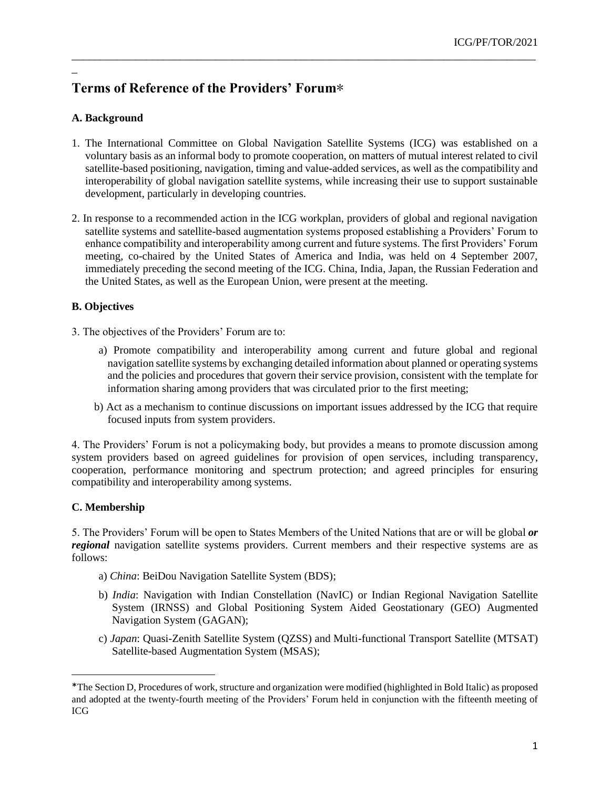# **Terms of Reference of the Providers' Forum**∗ 1

## **A. Background**

\_

1. The International Committee on Global Navigation Satellite Systems (ICG) was established on a voluntary basis as an informal body to promote cooperation, on matters of mutual interest related to civil satellite-based positioning, navigation, timing and value-added services, as well as the compatibility and interoperability of global navigation satellite systems, while increasing their use to support sustainable development, particularly in developing countries.

\_\_\_\_\_\_\_\_\_\_\_\_\_\_\_\_\_\_\_\_\_\_\_\_\_\_\_\_\_\_\_\_\_\_\_\_\_\_\_\_\_\_\_\_\_\_\_\_\_\_\_\_\_\_\_\_\_\_\_\_\_\_\_\_\_\_\_\_\_\_\_\_\_\_\_\_\_\_\_\_\_

2. In response to a recommended action in the ICG workplan, providers of global and regional navigation satellite systems and satellite-based augmentation systems proposed establishing a Providers' Forum to enhance compatibility and interoperability among current and future systems. The first Providers' Forum meeting, co-chaired by the United States of America and India, was held on 4 September 2007, immediately preceding the second meeting of the ICG. China, India, Japan, the Russian Federation and the United States, as well as the European Union, were present at the meeting.

### **B. Objectives**

- 3. The objectives of the Providers' Forum are to:
	- a) Promote compatibility and interoperability among current and future global and regional navigation satellite systems by exchanging detailed information about planned or operating systems and the policies and procedures that govern their service provision, consistent with the template for information sharing among providers that was circulated prior to the first meeting;
	- b) Act as a mechanism to continue discussions on important issues addressed by the ICG that require focused inputs from system providers.

4. The Providers' Forum is not a policymaking body, but provides a means to promote discussion among system providers based on agreed guidelines for provision of open services, including transparency, cooperation, performance monitoring and spectrum protection; and agreed principles for ensuring compatibility and interoperability among systems.

### **C. Membership**

5. The Providers' Forum will be open to States Members of the United Nations that are or will be global *or regional* navigation satellite systems providers. Current members and their respective systems are as follows:

- a) *China*: BeiDou Navigation Satellite System (BDS);
- b) *India*: Navigation with Indian Constellation (NavIC) or Indian Regional Navigation Satellite System (IRNSS) and Global Positioning System Aided Geostationary (GEO) Augmented Navigation System (GAGAN);
- c) *Japan*: Quasi-Zenith Satellite System (QZSS) and Multi-functional Transport Satellite (MTSAT) Satellite-based Augmentation System (MSAS);

<sup>\*</sup>The Section D, Procedures of work, structure and organization were modified (highlighted in Bold Italic) as proposed and adopted at the twenty-fourth meeting of the Providers' Forum held in conjunction with the fifteenth meeting of ICG